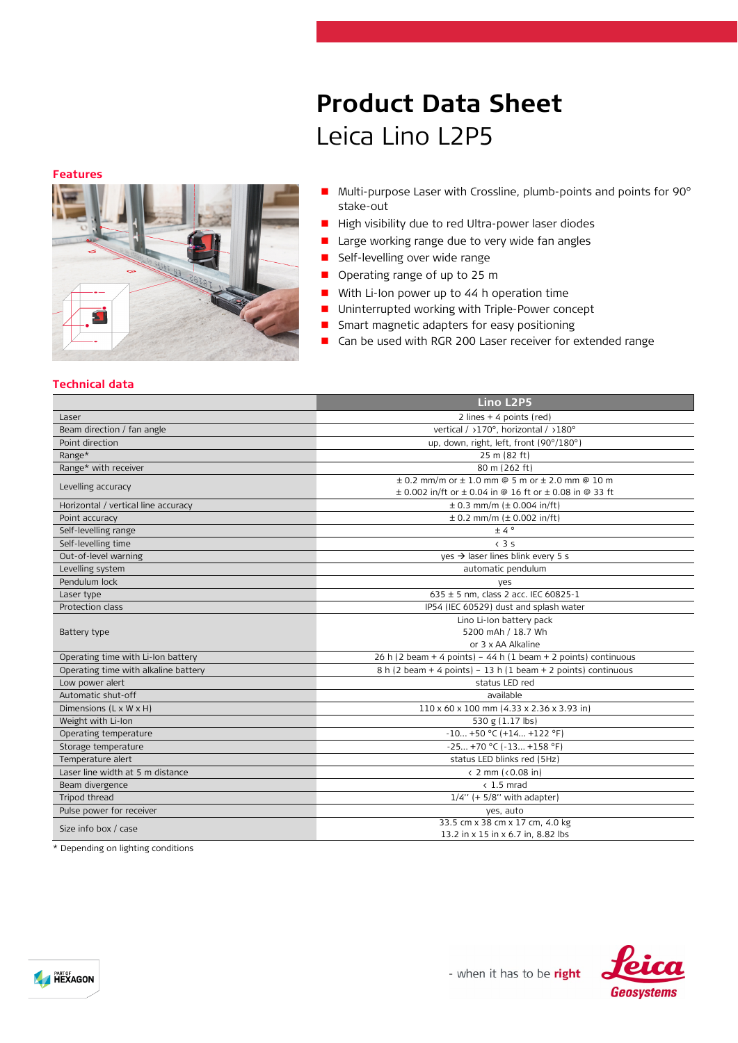# **Product Data Sheet** Leica Lino L2P5

**Features**



- Multi-purpose Laser with Crossline, plumb-points and points for 90° stake-out
- High visibility due to red Ultra-power laser diodes
- **Large working range due to very wide fan angles**
- **Self-levelling over wide range**
- **Operating range of up to 25 m**
- With Li-Ion power up to 44 h operation time
- Uninterrupted working with Triple-Power concept
- **Smart magnetic adapters for easy positioning**
- Can be used with RGR 200 Laser receiver for extended range

## **Technical data**

|                                      | Lino L2P5                                                       |  |
|--------------------------------------|-----------------------------------------------------------------|--|
| Laser                                | 2 lines $+$ 4 points (red)                                      |  |
| Beam direction / fan angle           | vertical / >170°, horizontal / >180°                            |  |
| Point direction                      | up, down, right, left, front (90°/180°)                         |  |
| Range*                               | 25 m (82 ft)                                                    |  |
| Range* with receiver                 | 80 m (262 ft)                                                   |  |
| Levelling accuracy                   | $\pm$ 0.2 mm/m or $\pm$ 1.0 mm @ 5 m or $\pm$ 2.0 mm @ 10 m     |  |
|                                      | ± 0.002 in/ft or ± 0.04 in @ 16 ft or ± 0.08 in @ 33 ft         |  |
| Horizontal / vertical line accuracy  | $\pm$ 0.3 mm/m ( $\pm$ 0.004 in/ft)                             |  |
| Point accuracy                       | $\pm$ 0.2 mm/m ( $\pm$ 0.002 in/ft)                             |  |
| Self-levelling range                 | ±4°                                                             |  |
| Self-levelling time                  | $\left(3.5\right)$                                              |  |
| Out-of-level warning                 | $yes \rightarrow$ laser lines blink every 5 s                   |  |
| Levelling system                     | automatic pendulum                                              |  |
| Pendulum lock                        | yes                                                             |  |
| Laser type                           | 635 ± 5 nm, class 2 acc. IEC 60825-1                            |  |
| Protection class                     | IP54 (IEC 60529) dust and splash water                          |  |
|                                      | Lino Li-Ion battery pack                                        |  |
| Battery type                         | 5200 mAh / 18.7 Wh                                              |  |
|                                      | or 3 x AA Alkaline                                              |  |
| Operating time with Li-Ion battery   | 26 h (2 beam + 4 points) - 44 h (1 beam + 2 points) continuous  |  |
| Operating time with alkaline battery | $8 h (2 beam + 4 points) - 13 h (1 beam + 2 points)$ continuous |  |
| Low power alert                      | status LED red                                                  |  |
| Automatic shut-off                   | available                                                       |  |
| Dimensions $(L \times W \times H)$   | $110 \times 60 \times 100$ mm (4.33 x 2.36 x 3.93 in)           |  |
| Weight with Li-Ion                   | 530 g (1.17 lbs)                                                |  |
| Operating temperature                | $-10+50$ °C (+14 +122 °F)                                       |  |
| Storage temperature                  | $-25 +70$ °C ( $-13 +158$ °F)                                   |  |
| Temperature alert                    | status LED blinks red (5Hz)                                     |  |
| Laser line width at 5 m distance     | $\langle$ 2 mm ( $\langle$ 0.08 in)                             |  |
| Beam divergence                      | $< 1.5$ mrad                                                    |  |
| Tripod thread                        | $1/4$ " (+ 5/8" with adapter)                                   |  |
| Pulse power for receiver             | yes, auto                                                       |  |
| Size info box / case                 | 33.5 cm x 38 cm x 17 cm, 4.0 kg                                 |  |
|                                      | 13.2 in x 15 in x 6.7 in, 8.82 lbs                              |  |

\* Depending on lighting conditions